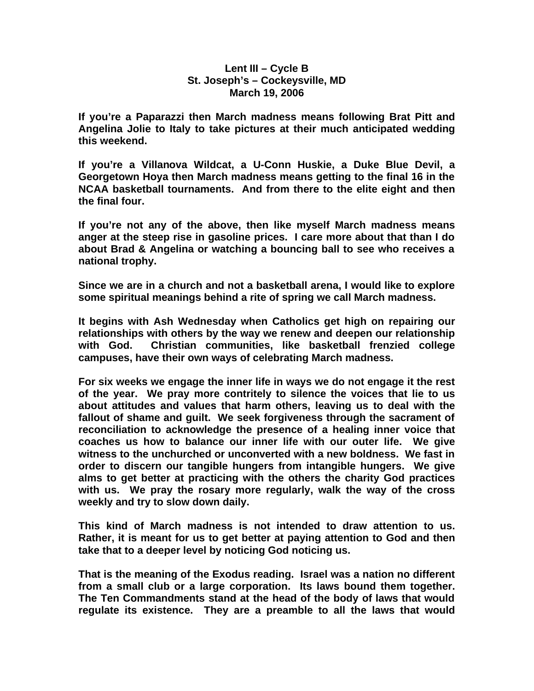## **Lent III – Cycle B St. Joseph's – Cockeysville, MD March 19, 2006**

**If you're a Paparazzi then March madness means following Brat Pitt and Angelina Jolie to Italy to take pictures at their much anticipated wedding this weekend.** 

**If you're a Villanova Wildcat, a U-Conn Huskie, a Duke Blue Devil, a Georgetown Hoya then March madness means getting to the final 16 in the NCAA basketball tournaments. And from there to the elite eight and then the final four.**

**If you're not any of the above, then like myself March madness means anger at the steep rise in gasoline prices. I care more about that than I do about Brad & Angelina or watching a bouncing ball to see who receives a national trophy.**

**Since we are in a church and not a basketball arena, I would like to explore some spiritual meanings behind a rite of spring we call March madness.**

**It begins with Ash Wednesday when Catholics get high on repairing our relationships with others by the way we renew and deepen our relationship with God. Christian communities, like basketball frenzied college campuses, have their own ways of celebrating March madness.**

**For six weeks we engage the inner life in ways we do not engage it the rest of the year. We pray more contritely to silence the voices that lie to us about attitudes and values that harm others, leaving us to deal with the fallout of shame and guilt. We seek forgiveness through the sacrament of reconciliation to acknowledge the presence of a healing inner voice that coaches us how to balance our inner life with our outer life. We give witness to the unchurched or unconverted with a new boldness. We fast in order to discern our tangible hungers from intangible hungers. We give alms to get better at practicing with the others the charity God practices with us. We pray the rosary more regularly, walk the way of the cross weekly and try to slow down daily.** 

**This kind of March madness is not intended to draw attention to us. Rather, it is meant for us to get better at paying attention to God and then take that to a deeper level by noticing God noticing us.**

**That is the meaning of the Exodus reading. Israel was a nation no different from a small club or a large corporation. Its laws bound them together. The Ten Commandments stand at the head of the body of laws that would regulate its existence. They are a preamble to all the laws that would**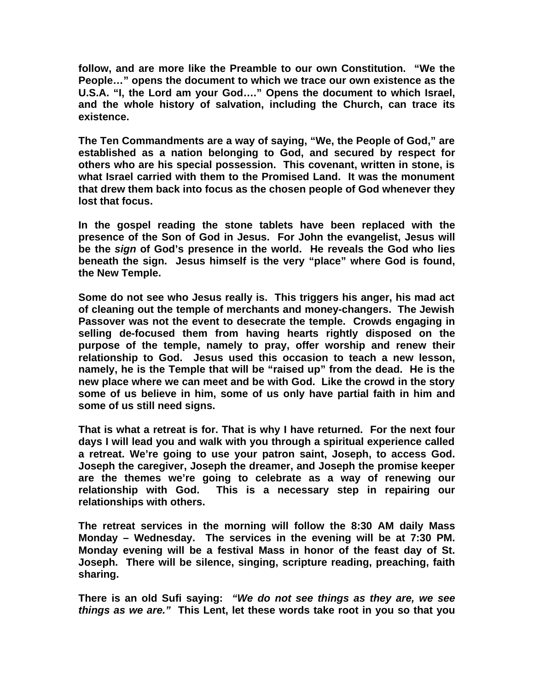**follow, and are more like the Preamble to our own Constitution. "We the People…" opens the document to which we trace our own existence as the U.S.A. "I, the Lord am your God…." Opens the document to which Israel, and the whole history of salvation, including the Church, can trace its existence.** 

**The Ten Commandments are a way of saying, "We, the People of God," are established as a nation belonging to God, and secured by respect for others who are his special possession. This covenant, written in stone, is what Israel carried with them to the Promised Land. It was the monument that drew them back into focus as the chosen people of God whenever they lost that focus.**

**In the gospel reading the stone tablets have been replaced with the presence of the Son of God in Jesus. For John the evangelist, Jesus will be the** *sign* **of God's presence in the world. He reveals the God who lies beneath the sign. Jesus himself is the very "place" where God is found, the New Temple.** 

**Some do not see who Jesus really is. This triggers his anger, his mad act of cleaning out the temple of merchants and money-changers. The Jewish Passover was not the event to desecrate the temple. Crowds engaging in selling de-focused them from having hearts rightly disposed on the purpose of the temple, namely to pray, offer worship and renew their relationship to God. Jesus used this occasion to teach a new lesson, namely, he is the Temple that will be "raised up" from the dead. He is the new place where we can meet and be with God. Like the crowd in the story some of us believe in him, some of us only have partial faith in him and some of us still need signs.** 

**That is what a retreat is for. That is why I have returned. For the next four days I will lead you and walk with you through a spiritual experience called a retreat. We're going to use your patron saint, Joseph, to access God. Joseph the caregiver, Joseph the dreamer, and Joseph the promise keeper are the themes we're going to celebrate as a way of renewing our relationship with God. This is a necessary step in repairing our relationships with others.**

**The retreat services in the morning will follow the 8:30 AM daily Mass Monday – Wednesday. The services in the evening will be at 7:30 PM. Monday evening will be a festival Mass in honor of the feast day of St. Joseph. There will be silence, singing, scripture reading, preaching, faith sharing.** 

**There is an old Sufi saying:** *"We do not see things as they are, we see things as we are."* **This Lent, let these words take root in you so that you**